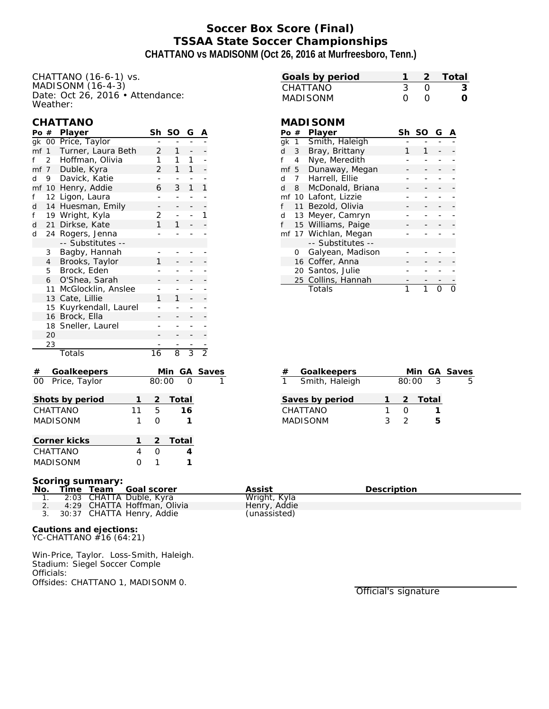# **Soccer Box Score (Final) TSSAA State Soccer Championships CHATTANO vs MADISONM (Oct 26, 2016 at Murfreesboro, Tenn.)**

CHATTANO (16-6-1) vs. MADISONM $(16-4-3)$ Date: Oct 26, 2016 • Attendance: Weather:

#### **CHATTANO**

| Po #                           |                                                     | Player                             |    | Sh              | <b>SO</b>                | G              | Α             |  |  |
|--------------------------------|-----------------------------------------------------|------------------------------------|----|-----------------|--------------------------|----------------|---------------|--|--|
| gk                             |                                                     | 00 Price, Taylor                   |    |                 |                          |                |               |  |  |
|                                | mf 1                                                | Turner, Laura Beth                 | 2  | $\mathbf{1}$    |                          |                |               |  |  |
| f                              | $\overline{2}$                                      | Hoffman, Olivia                    | 1  | 1               | 1                        | -              |               |  |  |
|                                | mf <sub>7</sub>                                     | Duble, Kyra                        |    | 2               | 1                        | 1              |               |  |  |
| d                              | 9                                                   | Davick, Katie                      |    | ÷,              | $\overline{a}$           | ÷,             |               |  |  |
| mf                             | 10 <sup>°</sup>                                     | Henry, Addie                       |    | 6               | 3                        | 1              | 1             |  |  |
| f                              | 12                                                  | Ligon, Laura                       |    |                 |                          |                |               |  |  |
| d                              | 14                                                  | Huesman, Emily                     |    |                 |                          |                | -             |  |  |
| f                              |                                                     | 19 Wright, Kyla                    |    | 2               | $\overline{\phantom{0}}$ | ÷,             | 1             |  |  |
| d                              | 21                                                  | Dirkse, Kate                       |    | 1               | 1                        |                |               |  |  |
| d                              | 24                                                  | Rogers, Jenna<br>-- Substitutes -- |    |                 |                          | -              |               |  |  |
|                                | 3                                                   | Bagby, Hannah                      |    |                 |                          | -              |               |  |  |
|                                | $\overline{4}$                                      | Brooks, Taylor                     |    | 1               |                          |                |               |  |  |
|                                | 5                                                   | Brock, Eden                        |    |                 |                          | $\overline{a}$ |               |  |  |
|                                | 6                                                   | O'Shea, Sarah                      |    |                 |                          |                |               |  |  |
|                                | 11                                                  | McGlocklin, Anslee                 |    |                 |                          |                |               |  |  |
|                                | 13                                                  | Cate, Lillie                       |    | 1               | 1                        |                |               |  |  |
|                                | 15                                                  | Kuyrkendall, Laurel                |    |                 |                          | -              |               |  |  |
|                                | 16                                                  | Brock, Ella                        |    |                 |                          |                |               |  |  |
|                                | 18                                                  | Sneller, Laurel                    |    |                 |                          | -              |               |  |  |
|                                | 20                                                  |                                    |    |                 |                          |                |               |  |  |
|                                | 23                                                  |                                    |    |                 |                          |                |               |  |  |
|                                |                                                     | Totals                             |    | $\overline{16}$ | $\overline{8}$           | $\overline{3}$ | $\frac{1}{2}$ |  |  |
|                                |                                                     | Goalkeepers                        |    |                 | <u>Min</u>               |                | <u>Save</u>   |  |  |
| $\overline{00}$                |                                                     | Price, Taylor                      |    | 80:00           |                          |                |               |  |  |
|                                |                                                     | Shots by period                    | 1  | $\overline{2}$  | Total                    |                |               |  |  |
|                                |                                                     | CHATTANO                           | 11 | 5               |                          | 16             |               |  |  |
|                                |                                                     | <b>MADISONM</b>                    | 1  | $\overline{O}$  |                          | 1              |               |  |  |
|                                |                                                     | Corner kicks                       | 1  | $\overline{2}$  | Total                    |                |               |  |  |
|                                |                                                     | CHATTANO                           | 4  | $\Omega$        |                          | 4              |               |  |  |
|                                |                                                     |                                    |    |                 |                          |                |               |  |  |
| 1<br><b>MADISONM</b><br>0<br>1 |                                                     |                                    |    |                 |                          |                |               |  |  |
|                                | Scoring summary:<br>No.<br>Time Team<br>Goal scorer |                                    |    |                 |                          |                |               |  |  |
|                                | 1.                                                  | CHATTA Duble, Kyra<br>2:03         |    |                 |                          |                |               |  |  |
|                                | 2.                                                  | 4:29 CHATTA Hoffman, Olivia        |    |                 |                          |                |               |  |  |

| Goals by period |                  | -2 Total |
|-----------------|------------------|----------|
| CHATTANO        |                  |          |
| MADISONM        | $\left( \right)$ |          |

### **MADISONM**

| Po #                 |    | Player               | Sh | SO | G |  |
|----------------------|----|----------------------|----|----|---|--|
| gk 1                 |    | Smith, Haleigh       |    |    |   |  |
| d                    | 3  | Bray, Brittany       |    |    |   |  |
|                      | 4  | Nye, Meredith        |    |    |   |  |
| mf 5                 |    | Dunaway, Megan       |    |    |   |  |
| d                    | 7  | Harrell, Ellie       |    |    |   |  |
| d                    | 8  | McDonald, Briana     |    |    |   |  |
|                      |    | mf 10 Lafont, Lizzie |    |    |   |  |
| f                    | 11 | Bezold, Olivia       |    |    |   |  |
| d                    | 13 | Meyer, Camryn        |    |    |   |  |
| f                    |    | 15 Williams, Paige   |    |    |   |  |
| mf 17 Wichlan, Megan |    |                      |    |    |   |  |
|                      |    | -- Substitutes --    |    |    |   |  |
|                      | Ω  | Galyean, Madison     |    |    |   |  |
|                      |    | 16 Coffer, Anna      |    |    |   |  |
|                      |    | 20 Santos, Julie     |    |    |   |  |
|                      |    | 25 Collins, Hannah   |    |    |   |  |
|                      |    | Totals               |    |    |   |  |

| # | Goalkeepers     |   |       |         | Min GA Saves |
|---|-----------------|---|-------|---------|--------------|
|   | Smith, Haleigh  |   | 80:00 | ્ર      | 5            |
|   |                 |   |       |         |              |
|   | Saves by period |   |       | 2 Total |              |
|   | CHATTANO        |   |       |         |              |
|   | <b>MADISONM</b> | ર |       | ↳       |              |

| ____<br>No. |  | Time Team Goal scorer        | Assist       | Description |
|-------------|--|------------------------------|--------------|-------------|
|             |  | 2:03 CHATTA Duble, Kyra      | Wright, Kyla |             |
|             |  | 4:29 CHATTA Hoffman, Olivia  | Henry, Addie |             |
|             |  | 3. 30:37 CHATTA Henry, Addie | (unassisted) |             |
|             |  |                              |              |             |

**Cautions and ejections:** YC-CHATTANO #16 (64:21)

Win-Price, Taylor. Loss-Smith, Haleigh. Stadium: Siegel Soccer Comple Officials: Offsides: CHATTANO 1, MADISONM 0.

Official's signature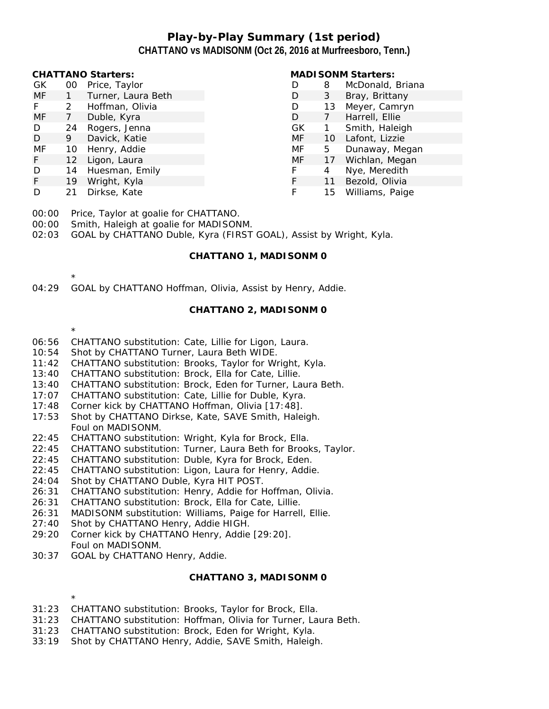## **Play-by-Play Summary (1st period) CHATTANO vs MADISONM (Oct 26, 2016 at Murfreesboro, Tenn.)**

| <b>CHATTANO Starters:</b> |                 |                    | <b>MADI SONM Starters:</b> |    |                  |  |
|---------------------------|-----------------|--------------------|----------------------------|----|------------------|--|
| GK.                       | 00              | Price, Taylor      |                            | 8  | McDonald, Briana |  |
| MF                        |                 | Turner, Laura Beth |                            | 3  | Bray, Brittany   |  |
|                           | 2               | Hoffman, Olivia    | D                          | 13 | Meyer, Camryn    |  |
| MF                        |                 | Duble, Kyra        | D                          |    | Harrell, Ellie   |  |
| D                         | 24              | Rogers, Jenna      | GK                         |    | Smith, Haleigh   |  |
| D                         | 9.              | Davick, Katie      | MF                         | 10 | Lafont, Lizzie   |  |
| MF                        | 10              | Henry, Addie       | MF                         | 5  | Dunaway, Megan   |  |
| F.                        | 12 <sup>2</sup> | Ligon, Laura       | MF                         | 17 | Wichlan, Megan   |  |
| D                         | 14              | Huesman, Emily     |                            | 4  | Nye, Meredith    |  |
| F.                        | 19              | Wright, Kyla       |                            | 11 | Bezold, Olivia   |  |
| D                         | 21              | Dirkse, Kate       |                            | 15 | Williams, Paige  |  |

00:00 Price, Taylor at goalie for CHATTANO.

00:00 Smith, Haleigh at goalie for MADISONM.

02:03 GOAL by CHATTANO Duble, Kyra (FIRST GOAL), Assist by Wright, Kyla.

#### **CHATTANO 1, MADISONM 0**

04:29 GOAL by CHATTANO Hoffman, Olivia, Assist by Henry, Addie.

#### **CHATTANO 2, MADISONM 0**

- 06:56 CHATTANO substitution: Cate, Lillie for Ligon, Laura.
- 10:54 Shot by CHATTANO Turner, Laura Beth WIDE.
- 11:42 CHATTANO substitution: Brooks, Taylor for Wright, Kyla.
- 13:40 CHATTANO substitution: Brock, Ella for Cate, Lillie.
- 13:40 CHATTANO substitution: Brock, Eden for Turner, Laura Beth.
- 17:07 CHATTANO substitution: Cate, Lillie for Duble, Kyra.
- 17:48 Corner kick by CHATTANO Hoffman, Olivia [17:48].
- 17:53 Shot by CHATTANO Dirkse, Kate, SAVE Smith, Haleigh. Foul on MADISONM.
- 22:45 CHATTANO substitution: Wright, Kyla for Brock, Ella.
- 22:45 CHATTANO substitution: Turner, Laura Beth for Brooks, Taylor.
- 22:45 CHATTANO substitution: Duble, Kyra for Brock, Eden.
- 22:45 CHATTANO substitution: Ligon, Laura for Henry, Addie.
- 24:04 Shot by CHATTANO Duble, Kyra HIT POST.
- 26:31 CHATTANO substitution: Henry, Addie for Hoffman, Olivia.
- 26:31 CHATTANO substitution: Brock, Ella for Cate, Lillie.
- 26:31 MADISONM substitution: Williams, Paige for Harrell, Ellie.
- 27:40 Shot by CHATTANO Henry, Addie HIGH.
- 29:20 Corner kick by CHATTANO Henry, Addie [29:20]. Foul on MADISONM.
- 30:37 GOAL by CHATTANO Henry, Addie.

#### **CHATTANO 3, MADISONM 0**

\*

\*

\*

- 31:23 CHATTANO substitution: Brooks, Taylor for Brock, Ella.
- 31:23 CHATTANO substitution: Hoffman, Olivia for Turner, Laura Beth.
- 31:23 CHATTANO substitution: Brock, Eden for Wright, Kyla.
- 33:19 Shot by CHATTANO Henry, Addie, SAVE Smith, Haleigh.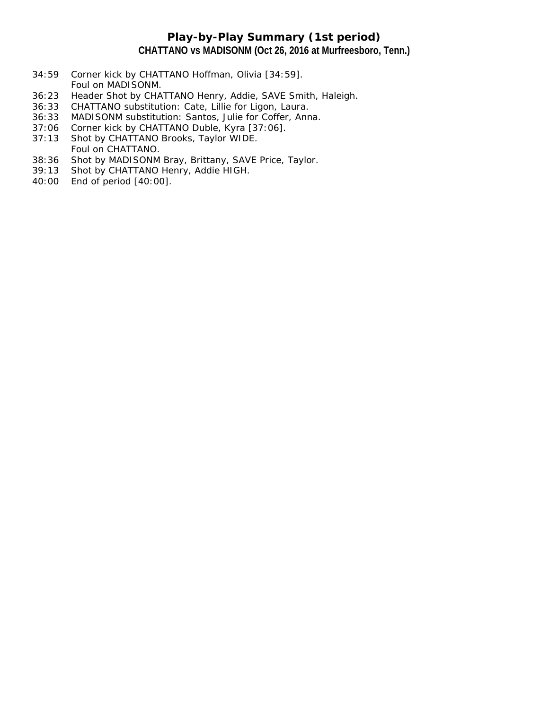## **Play-by-Play Summary (1st period) CHATTANO vs MADISONM (Oct 26, 2016 at Murfreesboro, Tenn.)**

- 34:59 Corner kick by CHATTANO Hoffman, Olivia [34:59]. Foul on MADISONM.
- 36:23 Header Shot by CHATTANO Henry, Addie, SAVE Smith, Haleigh.
- 36:33 CHATTANO substitution: Cate, Lillie for Ligon, Laura.
- 36:33 MADISONM substitution: Santos, Julie for Coffer, Anna.
- 37:06 Corner kick by CHATTANO Duble, Kyra [37:06].
- 37:13 Shot by CHATTANO Brooks, Taylor WIDE. Foul on CHATTANO.
- 38:36 Shot by MADISONM Bray, Brittany, SAVE Price, Taylor.
- 39:13 Shot by CHATTANO Henry, Addie HIGH.
- 40:00 End of period [40:00].